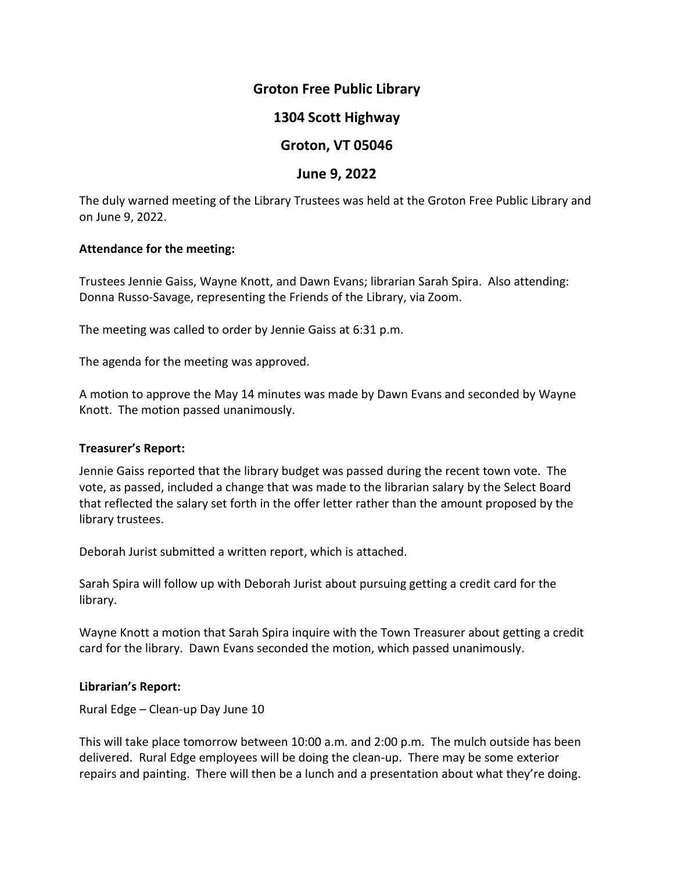## **Groton Free Public Library**

# **1304 Scott Highway**

# **Groton, VT 05046**

## **June 9, 2022**

The duly warned meeting of the Library Trustees was held at the Groton Free Public Library and on June 9, 2022.

#### **Attendance for the meeting:**

Trustees Jennie Gaiss, Wayne Knott, and Dawn Evans; librarian Sarah Spira. Also attending: Donna Russo-Savage, representing the Friends of the Library, via Zoom.

The meeting was called to order by Jennie Gaiss at 6:31 p.m.

The agenda for the meeting was approved.

A motion to approve the May 14 minutes was made by Dawn Evans and seconded by Wayne Knott. The motion passed unanimously.

#### **Treasurer's Report:**

Jennie Gaiss reported that the library budget was passed during the recent town vote. The vote, as passed, included a change that was made to the librarian salary by the Select Board that reflected the salary set forth in the offer letter rather than the amount proposed by the library trustees.

Deborah Jurist submitted a written report, which is attached.

Sarah Spira will follow up with Deborah Jurist about pursuing getting a credit card for the library.

Wayne Knott a motion that Sarah Spira inquire with the Town Treasurer about getting a credit card for the library. Dawn Evans seconded the motion, which passed unanimously.

#### **Librarian's Report:**

Rural Edge – Clean-up Day June 10

This will take place tomorrow between 10:00 a.m. and 2:00 p.m. The mulch outside has been delivered. Rural Edge employees will be doing the clean-up. There may be some exterior repairs and painting. There will then be a lunch and a presentation about what they're doing.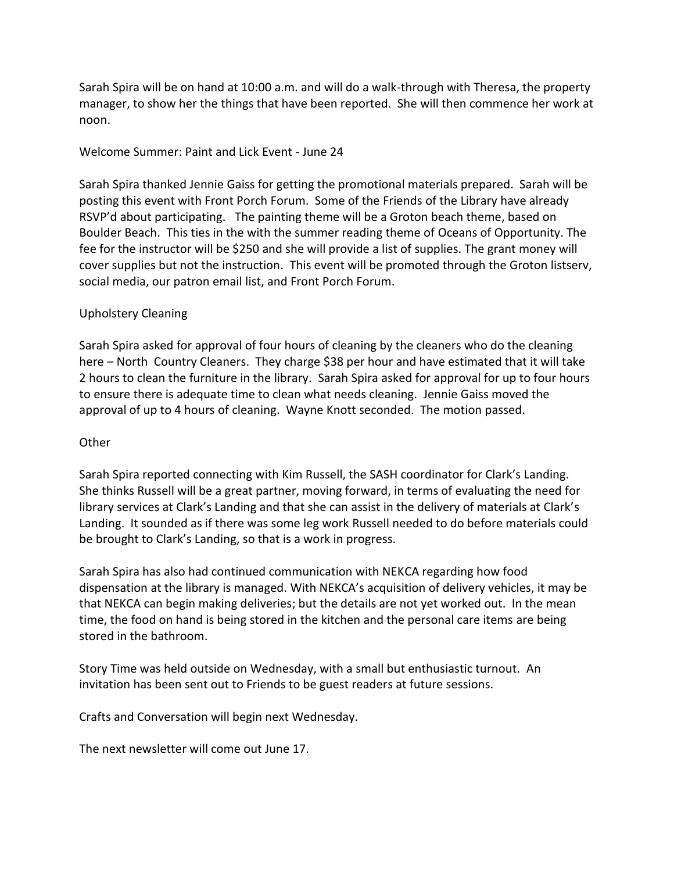Sarah Spira will be on hand at 10:00 a.m. and will do a walk-through with Theresa, the property manager, to show her the things that have been reported. She will then commence her work at noon.

## Welcome Summer: Paint and Lick Event - June 24

Sarah Spira thanked Jennie Gaiss for getting the promotional materials prepared. Sarah will be posting this event with Front Porch Forum. Some of the Friends of the Library have already RSVP'd about participating. The painting theme will be a Groton beach theme, based on Boulder Beach. This ties in the with the summer reading theme of Oceans of Opportunity. The fee for the instructor will be \$250 and she will provide a list of supplies. The grant money will cover supplies but not the instruction. This event will be promoted through the Groton listserv, social media, our patron email list, and Front Porch Forum.

## Upholstery Cleaning

Sarah Spira asked for approval of four hours of cleaning by the cleaners who do the cleaning here – North Country Cleaners. They charge \$38 per hour and have estimated that it will take 2 hours to clean the furniture in the library. Sarah Spira asked for approval for up to four hours to ensure there is adequate time to clean what needs cleaning. Jennie Gaiss moved the approval of up to 4 hours of cleaning. Wayne Knott seconded. The motion passed.

#### **Other**

Sarah Spira reported connecting with Kim Russell, the SASH coordinator for Clark's Landing. She thinks Russell will be a great partner, moving forward, in terms of evaluating the need for library services at Clark's Landing and that she can assist in the delivery of materials at Clark's Landing. It sounded as if there was some leg work Russell needed to do before materials could be brought to Clark's Landing, so that is a work in progress.

Sarah Spira has also had continued communication with NEKCA regarding how food dispensation at the library is managed. With NEKCA's acquisition of delivery vehicles, it may be that NEKCA can begin making deliveries; but the details are not yet worked out. In the mean time, the food on hand is being stored in the kitchen and the personal care items are being stored in the bathroom.

Story Time was held outside on Wednesday, with a small but enthusiastic turnout. An invitation has been sent out to Friends to be guest readers at future sessions.

Crafts and Conversation will begin next Wednesday.

The next newsletter will come out June 17.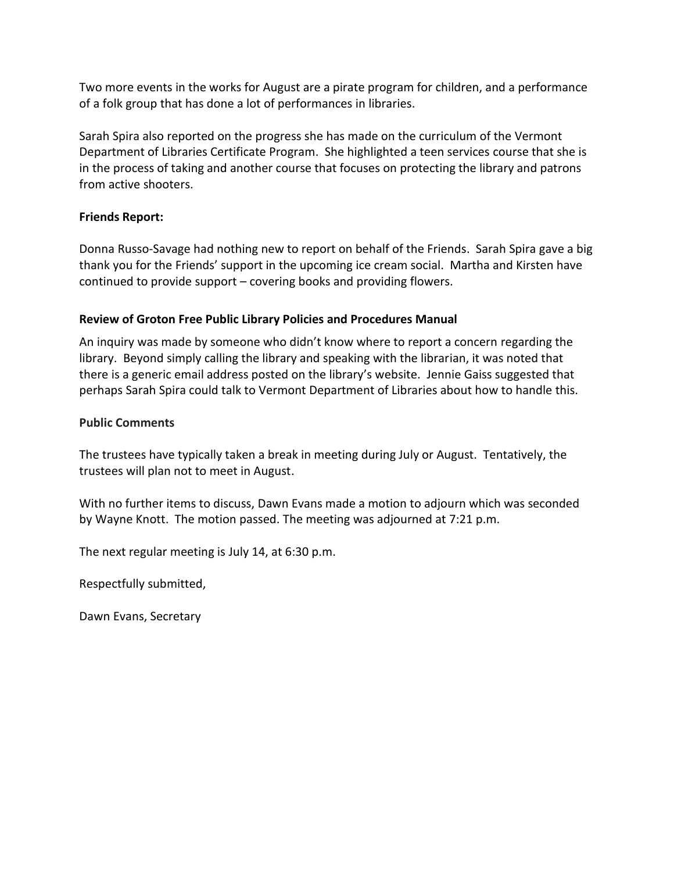Two more events in the works for August are a pirate program for children, and a performance of a folk group that has done a lot of performances in libraries.

Sarah Spira also reported on the progress she has made on the curriculum of the Vermont Department of Libraries Certificate Program. She highlighted a teen services course that she is in the process of taking and another course that focuses on protecting the library and patrons from active shooters.

## **Friends Report:**

Donna Russo-Savage had nothing new to report on behalf of the Friends. Sarah Spira gave a big thank you for the Friends' support in the upcoming ice cream social. Martha and Kirsten have continued to provide support – covering books and providing flowers.

## **Review of Groton Free Public Library Policies and Procedures Manual**

An inquiry was made by someone who didn't know where to report a concern regarding the library. Beyond simply calling the library and speaking with the librarian, it was noted that there is a generic email address posted on the library's website. Jennie Gaiss suggested that perhaps Sarah Spira could talk to Vermont Department of Libraries about how to handle this.

## **Public Comments**

The trustees have typically taken a break in meeting during July or August. Tentatively, the trustees will plan not to meet in August.

With no further items to discuss, Dawn Evans made a motion to adjourn which was seconded by Wayne Knott. The motion passed. The meeting was adjourned at 7:21 p.m.

The next regular meeting is July 14, at 6:30 p.m.

Respectfully submitted,

Dawn Evans, Secretary